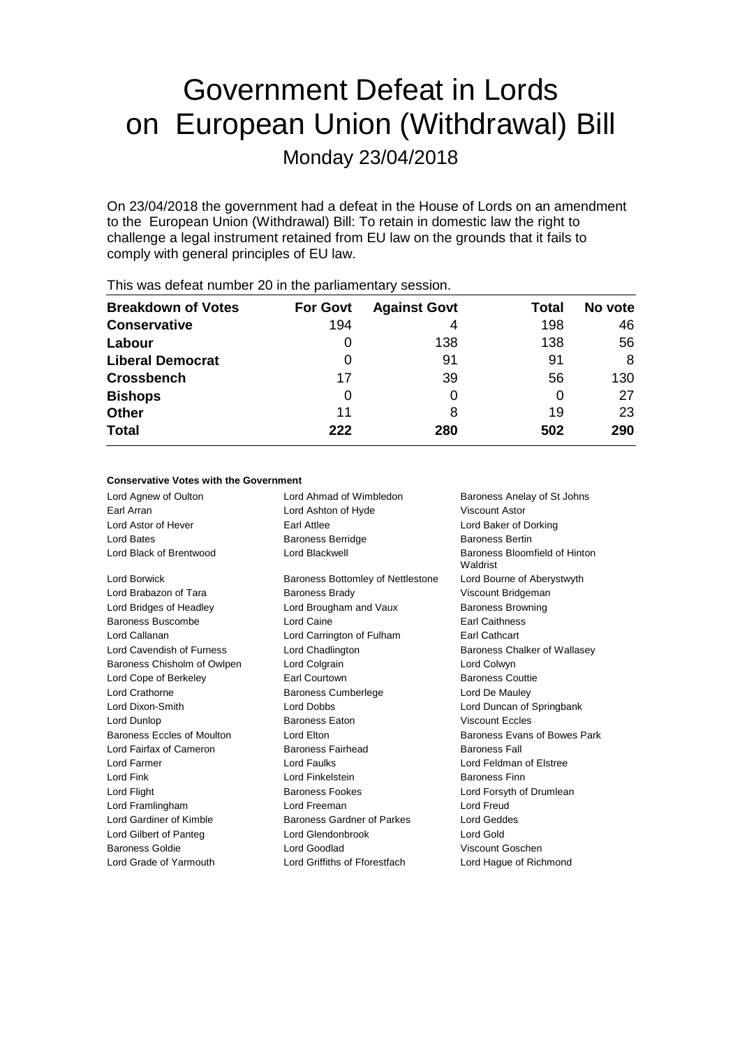# Government Defeat in Lords on European Union (Withdrawal) Bill

Monday 23/04/2018

On 23/04/2018 the government had a defeat in the House of Lords on an amendment to the European Union (Withdrawal) Bill: To retain in domestic law the right to challenge a legal instrument retained from EU law on the grounds that it fails to comply with general principles of EU law.

| <b>Breakdown of Votes</b> | <b>For Govt</b> | <b>Against Govt</b> | Total | No vote |
|---------------------------|-----------------|---------------------|-------|---------|
| <b>Conservative</b>       | 194             | 4                   | 198   | 46      |
| Labour                    | $\Omega$        | 138                 | 138   | 56      |
| <b>Liberal Democrat</b>   | $\Omega$        | 91                  | 91    | 8       |
| <b>Crossbench</b>         | 17              | 39                  | 56    | 130     |
| <b>Bishops</b>            | 0               | 0                   | 0     | 27      |
| <b>Other</b>              | 11              | 8                   | 19    | 23      |
| <b>Total</b>              | 222             | 280                 | 502   | 290     |
|                           |                 |                     |       |         |

This was defeat number 20 in the parliamentary session.

### **Conservative Votes with the Government**

| Lord Agnew of Oulton        | Lord Ahmad of Wimbledon           | Baroness Anelay of St Johns               |  |
|-----------------------------|-----------------------------------|-------------------------------------------|--|
| Earl Arran                  | Lord Ashton of Hyde               | <b>Viscount Astor</b>                     |  |
| Lord Astor of Hever         | Earl Attlee                       | Lord Baker of Dorking                     |  |
| Lord Bates                  | <b>Baroness Berridge</b>          | <b>Baroness Bertin</b>                    |  |
| Lord Black of Brentwood     | Lord Blackwell                    | Baroness Bloomfield of Hinton<br>Waldrist |  |
| Lord Borwick                | Baroness Bottomley of Nettlestone | Lord Bourne of Aberystwyth                |  |
| Lord Brabazon of Tara       | <b>Baroness Brady</b>             | Viscount Bridgeman                        |  |
| Lord Bridges of Headley     | Lord Brougham and Vaux            | <b>Baroness Browning</b>                  |  |
| Baroness Buscombe           | Lord Caine                        | <b>Earl Caithness</b>                     |  |
| Lord Callanan               | Lord Carrington of Fulham         | Earl Cathcart                             |  |
| Lord Cavendish of Furness   | Lord Chadlington                  | Baroness Chalker of Wallasey              |  |
| Baroness Chisholm of Owlpen | Lord Colgrain                     | Lord Colwyn                               |  |
| Lord Cope of Berkeley       | Earl Courtown                     | <b>Baroness Couttie</b>                   |  |
| Lord Crathorne              | <b>Baroness Cumberlege</b>        | Lord De Mauley                            |  |
| Lord Dixon-Smith            | <b>Lord Dobbs</b>                 | Lord Duncan of Springbank                 |  |
| Lord Dunlop                 | <b>Baroness Eaton</b>             | <b>Viscount Eccles</b>                    |  |
| Baroness Eccles of Moulton  | Lord Elton                        | Baroness Evans of Bowes Park              |  |
| Lord Fairfax of Cameron     | <b>Baroness Fairhead</b>          | <b>Baroness Fall</b>                      |  |
| Lord Farmer                 | <b>Lord Faulks</b>                | Lord Feldman of Elstree                   |  |
| Lord Fink                   | Lord Finkelstein                  | <b>Baroness Finn</b>                      |  |
| Lord Flight                 | <b>Baroness Fookes</b>            | Lord Forsyth of Drumlean                  |  |
| Lord Framlingham            | Lord Freeman                      | Lord Freud                                |  |
| Lord Gardiner of Kimble     | Baroness Gardner of Parkes        | Lord Geddes                               |  |
| Lord Gilbert of Panteg      | Lord Glendonbrook                 | Lord Gold                                 |  |
| Baroness Goldie             | Lord Goodlad                      | Viscount Goschen                          |  |
| Lord Grade of Yarmouth      | Lord Griffiths of Fforestfach     | Lord Hague of Richmond                    |  |
|                             |                                   |                                           |  |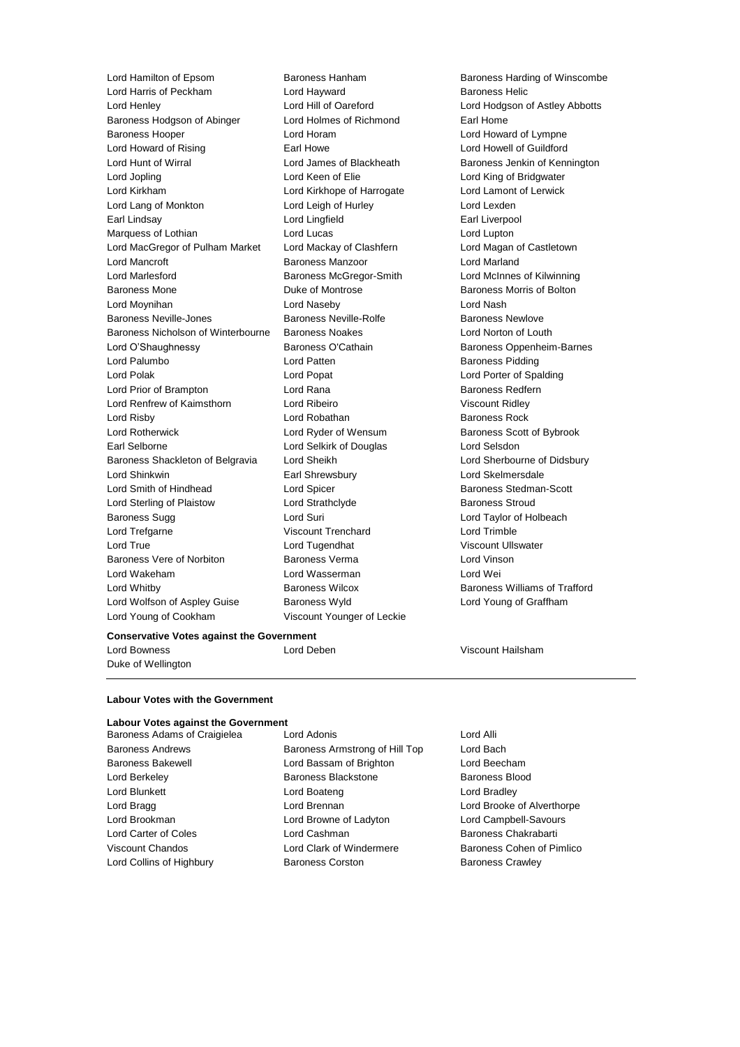Lord Hamilton of Epsom Baroness Hanham Baroness Handing of Winscombe<br>
Lord Harris of Peckham Lord Hawward Baroness Helic Lord Harris of Peckham **Lord Hayward** Baroness Helic Lord Henley Lord Hill of Oareford Lord Hodgson of Astley Abbotts Baroness Hodgson of Abinger Lord Holmes of Richmond Earl Home Baroness Hooper **Lord Horam** Lord Horam **Lord Howard of Lympne** Lord Howard of Rising **Earl Howe Carl Howe Lord Howell of Guildford** Lord Hunt of Wirral **Lord James of Blackheath** Baroness Jenkin of Kennington Lord Jopling Lord Keen of Elie Lord King of Bridgwater Lord Kirkham Lord Kirkhope of Harrogate Lord Lamont of Lerwick Lord Lang of Monkton Lord Leigh of Hurley Lord Lexden Earl Lindsay Lord Lingfield Earl Liverpool Marquess of Lothian **Lord Lucas** Lord Lucas Lord Lupton Lord MacGregor of Pulham Market Lord Mackay of Clashfern Lord Magan of Castletown Lord Mancroft **Baroness Manzoor** Lord Marland Lord Marlesford Baroness McGregor-Smith Lord McInnes of Kilwinning Baroness Mone **Baroness Mone Duke of Montrose Baroness Morris of Bolton** Lord Moynihan Lord Naseby Lord Nash Baroness Neville-Jones **Baroness Neville-Rolfe Baroness Newlove** Baroness Newlove Baroness Nicholson of Winterbourne Baroness Noakes Lord Norton of Louth Lord O'Shaughnessy **Baroness O'Cathain** Baroness Oppenheim-Barnes Lord Palumbo **Lord Patten Communist Lord Patten Baroness Pidding** Lord Polak Lord Popat Lord Porter of Spalding Lord Prior of Brampton **Lord Rana Communist Communist Communist Communist Communist Communist Communist Communist Communist Communist Communist Communist Communist Communist Communist Communist Communist Communist Commun** Lord Renfrew of Kaimsthorn Lord Ribeiro Viscount Ridley Lord Risby **Lord Robathan** Baroness Rock Lord Rotherwick Lord Ryder of Wensum Baroness Scott of Bybrook Earl Selborne Lord Selkirk of Douglas Lord Selsdon Baroness Shackleton of Belgravia Lord Sheikh Lord Sherbourne of Didsbury Lord Shinkwin Earl Shrewsbury Lord Skelmersdale Lord Smith of Hindhead Lord Spicer Baroness Stedman-Scott Lord Sterling of Plaistow Lord Strathclyde Baroness Stroud Baroness Sugg **Lord Suri Lord Suri Lord Taylor of Holbeach Lord Taylor of Holbeach** Lord Trefgarne Viscount Trenchard Lord Trimble Lord True Lord Tugendhat Viscount Ullswater Baroness Vere of Norbiton Baroness Verma Lord Vinson Lord Wakeham Lord Wasserman Lord Wei Lord Whitby Baroness Wilcox Baroness Williams of Trafford Lord Wolfson of Aspley Guise Baroness Wyld Lord Young of Graffham Lord Young of Cookham Viscount Younger of Leckie

### **Conservative Votes against the Government**

Lord Bowness Lord Deben Viscount Hailsham

Duke of Wellington

### **Labour Votes with the Government**

### **Labour Votes against the Government**

Lord Collins of Highbury **Baroness Corston** Baroness Crawley

Baroness Adams of Craigielea Lord Adonis Lord Annual Lord Alli Baroness Andrews Baroness Armstrong of Hill Top Lord Bach Baroness Bakewell Lord Bassam of Brighton Lord Beecham Lord Berkeley Baroness Blackstone Baroness Blood Lord Blunkett Lord Boateng Lord Bradley Lord Bragg **Lord Brennan** Lord Brennan Lord Brooke of Alverthorpe Lord Brookman Lord Browne of Ladyton Lord Campbell-Savours Lord Carter of Coles Lord Cashman Baroness Chakrabarti Viscount Chandos **Lord Clark of Windermere** Baroness Cohen of Pimlico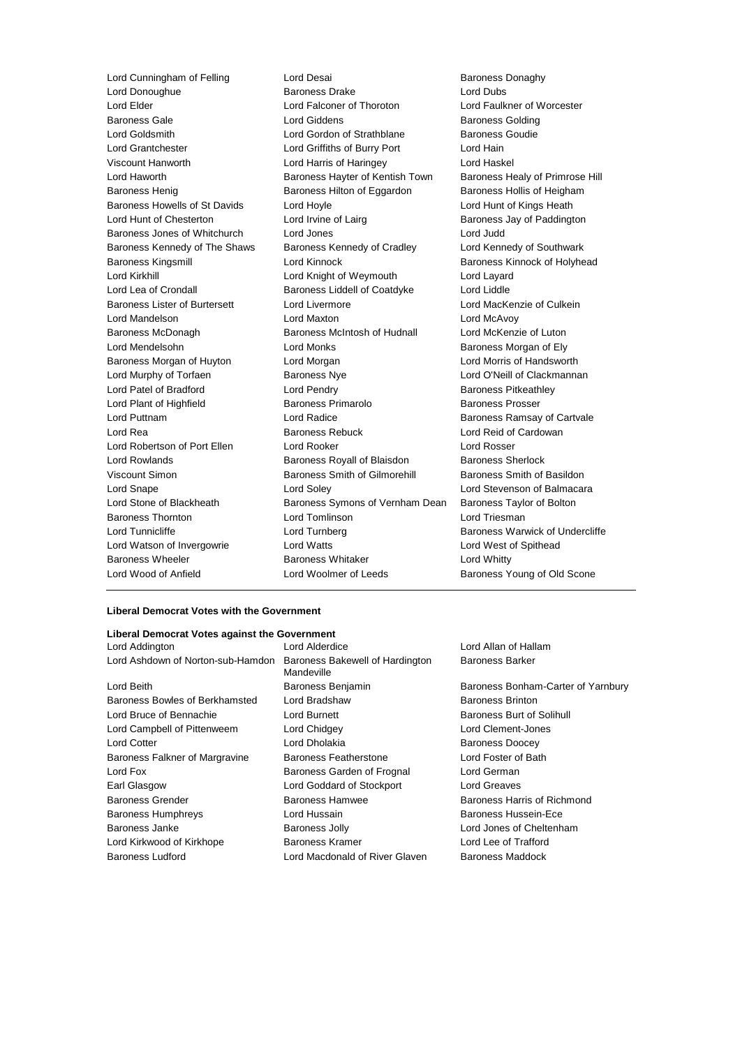Lord Donoughue Baroness Drake Lord Dubs Lord Elder Lord Falconer of Thoroton Lord Faulkner of Worcester Baroness Gale **Baroness Golding** Lord Giddens **Baroness Golding** Lord Goldsmith **Lord Gordon of Strathblane** Baroness Goudie Lord Grantchester Lord Griffiths of Burry Port Lord Hain Viscount Hanworth Lord Harris of Haringey Lord Haskel Lord Haworth **Baroness Hayter of Kentish Town** Baroness Healy of Primrose Hill Baroness Henig Baroness Hilton of Eggardon Baroness Hollis of Heigham Baroness Howells of St Davids Lord Hoyle Lord Hunt of Kings Heath Lord Hunt of Chesterton **Lord Irvine of Lairg Baroness Jay of Paddington** Baroness Jones of Whitchurch Lord Jones Lord Judd Baroness Kennedy of The Shaws Baroness Kennedy of Cradley Lord Kennedy of Southwark Baroness Kingsmill **Example 20** Lord Kinnock **Baroness Kinnock of Holyhead** Lord Kirkhill Lord Knight of Weymouth Lord Layard Lord Lea of Crondall **Baroness Liddell of Coatdyke** Lord Liddle Baroness Lister of Burtersett Lord Livermore Lord MacKenzie of Culkein Lord Mandelson **Lord Maxton** Lord Maxton **Lord McAvoy** Baroness McDonagh Baroness McIntosh of Hudnall Lord McKenzie of Luton Lord Mendelsohn **Lord Monks Communist Communist Communist Communist Communist Communist Communist Communist Communist Communist Communist Communist Communist Communist Communist Communist Communist Communist Communist Co** Baroness Morgan of Huyton Lord Morgan Lord Morris of Handsworth Lord Murphy of Torfaen **Baroness Nye** Lord O'Neill of Clackmannan Lord Patel of Bradford **Lord Pendry Community** Baroness Pitkeathley Lord Plant of Highfield **Baroness Primarolo** Baroness Prosser Lord Puttnam Lord Radice Baroness Ramsay of Cartvale Lord Rea **Baroness Rebuck** Lord Reid of Cardowan **Lord Reid** of Cardowan Lord Robertson of Port Ellen Lord Rooker Lord Rosser Lord Rowlands Baroness Royall of Blaisdon Baroness Sherlock Viscount Simon **Baroness Smith of Gilmorehill** Baroness Smith of Basildon Lord Snape Lord Soley Lord Stevenson of Balmacara Lord Stone of Blackheath Baroness Symons of Vernham Dean Baroness Taylor of Bolton Baroness Thornton Lord Tomlinson Lord Triesman Lord Tunnicliffe **Lord Turnberg** Baroness Warwick of Undercliffe Lord Watson of Invergowrie Lord Watts Lord West of Spithead Baroness Wheeler **Baroness Whitaker** Lord Whitty Lord Wood of Anfield **Lord Woolmer of Leeds** Baroness Young of Old Scone

Lord Cunningham of Felling Lord Desai Corea Lord Desai Corea Baroness Donaghy<br>
Lord Donoughue Corea Baroness Drake Corea Lord Dubs

### **Liberal Democrat Votes with the Government**

## **Liberal Democrat Votes against the Government**

| Lora Addington                    | Lora Algero                     |
|-----------------------------------|---------------------------------|
| Lord Ashdown of Norton-sub-Hamdon | <b>Baroness B</b><br>Mandeville |
| Lord Beith                        | <b>Baroness B</b>               |
| Baroness Bowles of Berkhamsted    | Lord Bradsl                     |
| Lord Bruce of Bennachie           | Lord Burnet                     |
| Lord Campbell of Pittenweem       | Lord Chidge                     |
| <b>Lord Cotter</b>                | Lord Dholal                     |
| Baroness Falkner of Margravine    | <b>Baroness F</b>               |
| Lord Fox                          | <b>Baroness G</b>               |
| Earl Glasgow                      | Lord Godda                      |
| <b>Baroness Grender</b>           | Baroness H                      |
| <b>Baroness Humphreys</b>         | Lord Hussa                      |
| Baroness Janke                    | Baroness J                      |
| Lord Kirkwood of Kirkhope         | <b>Baroness K</b>               |
| <b>Baroness Ludford</b>           | Lord Macdo                      |

Bakewell of Hardington haw **Baroness Brinton** ey Lord Clement-Jones kia **Contracts** Baroness Doocey Featherstone **Earner Exercise Featherstone** Lord Foster of Bath arden of Frognal Lord German ard of Stockport Lord Greaves Come Baroness Kramer Lord Lee of Trafford onald of River Glaven Baroness Maddock

Lord Allan of Hallam Baroness Barker

lenjamin Baroness Bonham-Carter of Yarnbury Lord Bruce of Bennachie Lord Burnett Baroness Burt of Solihull lamwee Baroness Harris of Richmond in **Baroness Hussein-Ece** ally and Lord Jones of Cheltenham